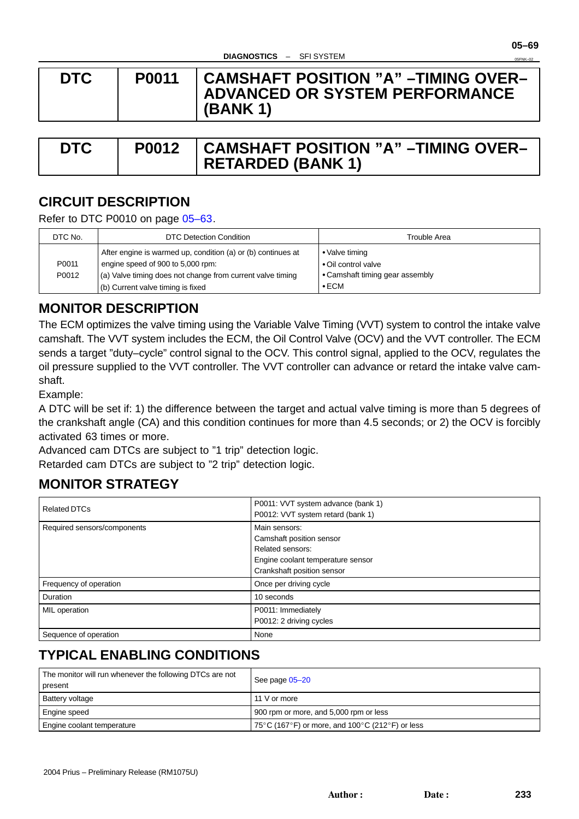**05–69** 05FNK–02

<span id="page-0-0"></span>

| <b>DTC</b> | <b>P0011</b> | ∣ CAMSHAFT POSITION "A" –TIMING OVER–<br>ADVANCED OR SYSTEM PERFORMANCE<br>(BANK 1) |
|------------|--------------|-------------------------------------------------------------------------------------|

| <b>DTC</b> | <b>P0012 CAMSHAFT POSITION "A" -TIMING OVER-</b> |
|------------|--------------------------------------------------|
|            | $\vert$ RETARDED (BANK 1)                        |

# **CIRCUIT DESCRIPTION**

Refer to DTC P0010 on page 05–63.

| DTC No. | DTC Detection Condition                                      | Trouble Area                    |
|---------|--------------------------------------------------------------|---------------------------------|
|         | After engine is warmed up, condition (a) or (b) continues at | • Valve timing                  |
| P0011   | engine speed of 900 to 5,000 rpm:                            | • Oil control valve             |
| P0012   | (a) Valve timing does not change from current valve timing   | • Camshaft timing gear assembly |
|         | (b) Current valve timing is fixed                            | $\bullet$ ECM                   |

## **MONITOR DESCRIPTION**

The ECM optimizes the valve timing using the Variable Valve Timing (VVT) system to control the intake valve camshaft. The VVT system includes the ECM, the Oil Control Valve (OCV) and the VVT controller. The ECM sends a target "duty–cycle" control signal to the OCV. This control signal, applied to the OCV, regulates the oil pressure supplied to the VVT controller. The VVT controller can advance or retard the intake valve camshaft.

Example:

A DTC will be set if: 1) the difference between the target and actual valve timing is more than 5 degrees of the crankshaft angle (CA) and this condition continues for more than 4.5 seconds; or 2) the OCV is forcibly activated 63 times or more.

Advanced cam DTCs are subject to "1 trip" detection logic.

Retarded cam DTCs are subject to "2 trip" detection logic.

## **MONITOR STRATEGY**

| <b>Related DTCs</b>         | P0011: VVT system advance (bank 1)<br>P0012: VVT system retard (bank 1)                                                          |
|-----------------------------|----------------------------------------------------------------------------------------------------------------------------------|
| Required sensors/components | Main sensors:<br>Camshaft position sensor<br>Related sensors:<br>Engine coolant temperature sensor<br>Crankshaft position sensor |
| Frequency of operation      | Once per driving cycle                                                                                                           |
| Duration                    | 10 seconds                                                                                                                       |
| MIL operation               | P0011: Immediately<br>P0012: 2 driving cycles                                                                                    |
| Sequence of operation       | None                                                                                                                             |

# **TYPICAL ENABLING CONDITIONS**

| The monitor will run whenever the following DTCs are not<br>present | See page 05-20                                  |  |
|---------------------------------------------------------------------|-------------------------------------------------|--|
| Battery voltage                                                     | 11 V or more                                    |  |
| Engine speed                                                        | 900 rpm or more, and 5,000 rpm or less          |  |
| Engine coolant temperature                                          | 75°C (167°F) or more, and 100°C (212°F) or less |  |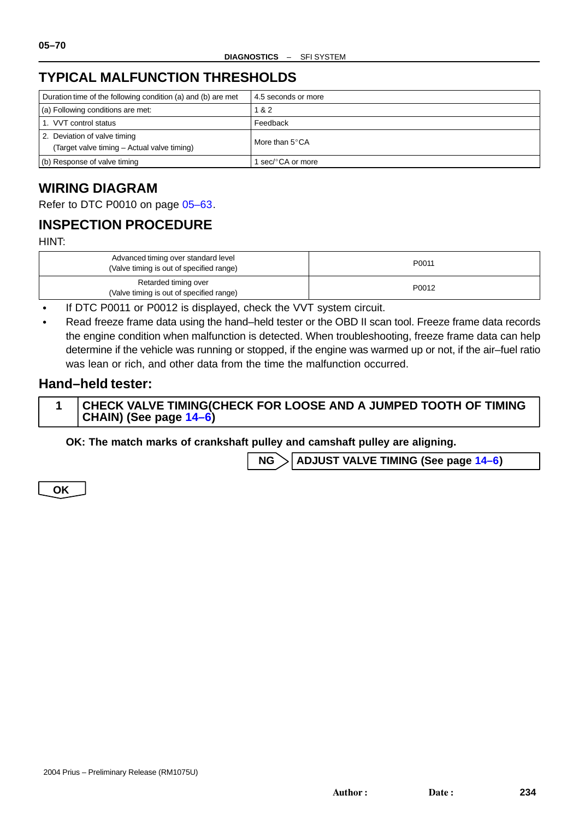# **TYPICAL MALFUNCTION THRESHOLDS**

| Duration time of the following condition (a) and (b) are met                | 4.5 seconds or more     |
|-----------------------------------------------------------------------------|-------------------------|
| (a) Following conditions are met:                                           | 1 & 2                   |
| 1. VVT control status                                                       | Feedback                |
| 2. Deviation of valve timing<br>(Target valve timing - Actual valve timing) | More than $5^{\circ}CA$ |
| (b) Response of valve timing                                                | sec/°CA or more         |

# **WIRING DIAGRAM**

Refer to DTC P0010 on page 05–63.

# **INSPECTION PROCEDURE**

HINT:

| Advanced timing over standard level<br>(Valve timing is out of specified range) | P0011 |
|---------------------------------------------------------------------------------|-------|
| Retarded timing over<br>(Valve timing is out of specified range)                | P0012 |

 $\bullet$ If DTC P0011 or P0012 is displayed, check the VVT system circuit.

 $\bullet$  Read freeze frame data using the hand–held tester or the OBD II scan tool. Freeze frame data records the engine condition when malfunction is detected. When troubleshooting, freeze frame data can help determine if the vehicle was running or stopped, if the engine was warmed up or not, if the air–fuel ratio was lean or rich, and other data from the time the malfunction occurred.

## **Hand–held tester:**

| CHECK VALVE TIMING(CHECK FOR LOOSE AND A JUMPED TOOTH OF TIMING |
|-----------------------------------------------------------------|
| $ $ CHAIN) (See page $14-6$ )                                   |

**OK: The match marks of crankshaft pulley and camshaft pulley are aligning.**

**NG ADJUST VALVE TIMING (See page 14–6)**

**OK**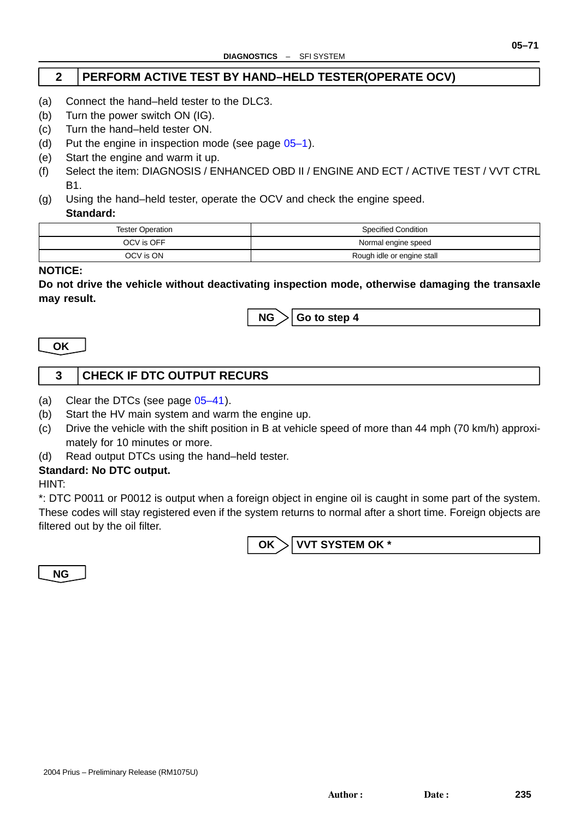### **2 PERFORM ACTIVE TEST BY HAND–HELD TESTER(OPERATE OCV)**

- (a) Connect the hand–held tester to the DLC3.
- (b) Turn the power switch ON (IG).
- (c) Turn the hand–held tester ON.
- (d) Put the engine in inspection mode (see page 05–1).
- (e) Start the engine and warm it up.
- (f) Select the item: DIAGNOSIS / ENHANCED OBD II / ENGINE AND ECT / ACTIVE TEST / VVT CTRL B1.
- (g) Using the hand–held tester, operate the OCV [and c](#page-0-0)heck the engine speed. **Standard:**

| <b>Tester Operation</b> | Specified Condition        |
|-------------------------|----------------------------|
| OCV is OFF              | Normal engine speed        |
| OCV is ON               | Rough idle or engine stall |

#### **NOTICE:**

**Do not drive the vehicle without deactivating inspection mode, otherwise damaging the transaxle may result.**



**OK**

## **3 CHECK IF DTC OUTPUT RECURS**

- (a) Clear the DTCs (see page 05–41).
- (b) Start the HV main system and warm the engine up.
- (c) Drive the vehicle with the shift position in B at vehicle speed of more than 44 mph (70 km/h) approximately for 10 minutes or more.
- (d) Read output DTCs using t[he hand](#page-0-0)–held tester.

#### **Standard: No DTC output.**

HINT:

\*: DTC P0011 or P0012 is output when a foreign object in engine oil is caught in some part of the system. These codes will stay registered even if the system returns to normal after a short time. Foreign objects are filtered out by the oil filter.

**OK VVT SYSTEM OK \***

**NG**

**05–71**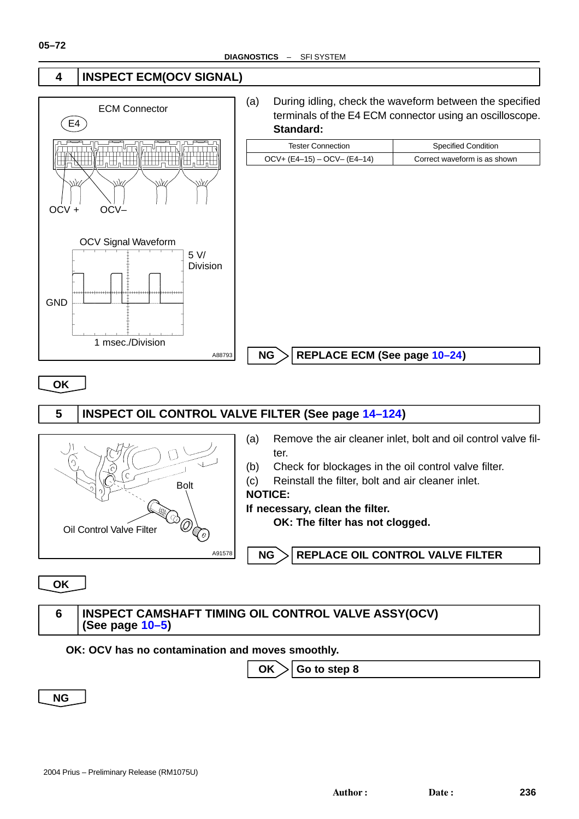

**OK**



**OK**

### **6 INSPECT CAMSHAFT TIMING OIL CONTROL VALVE ASSY(OCV) (See page 10–5)**

#### **OK: OCV has no contamination and moves smoothly.**

 $OK$   $\geq$  Go to step 8

**NG**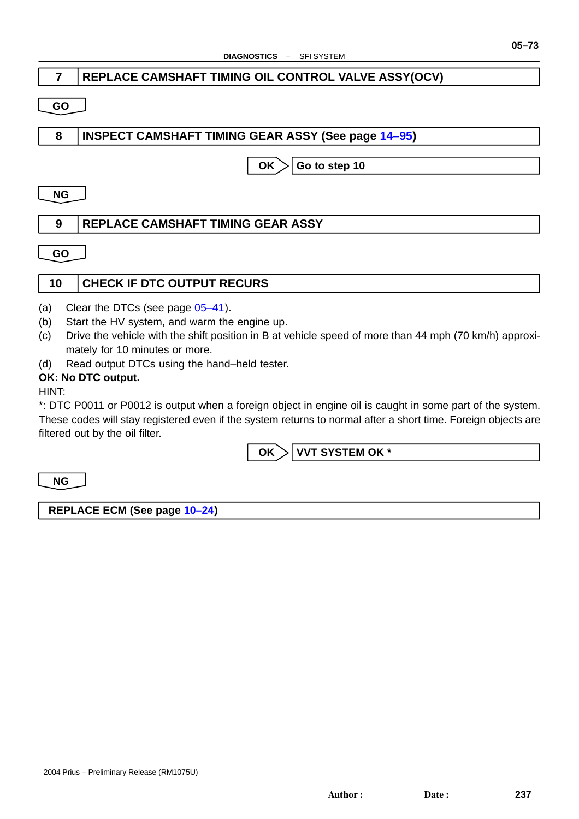## **7 REPLACE CAMSHAFT TIMING OIL CONTROL VALVE ASSY(OCV)**

#### **GO**

## **8 INSPECT CAMSHAFT TIMING GEAR ASSY (See page 14–95)**

 $OK$   $\geq$  Go to step 10

#### **NG**

## **9 REPLACE CAMSHAFT TIMING GEAR ASSY**

**GO**

## **10 CHECK IF DTC OUTPUT RECURS**

- (a) Clear the DTCs (see page  $05-41$ ).
- (b) Start the HV system, and warm the engine up.
- (c) Drive the vehicle with the shift position in B at vehicle speed of more than 44 mph (70 km/h) approximately for 10 minutes or more.
- (d) Read output DTCs using t[he hand](#page-0-0)–held tester.

#### **OK: No DTC output.**

HINT:

\*: DTC P0011 or P0012 is output when a foreign object in engine oil is caught in some part of the system. These codes will stay registered even if the system returns to normal after a short time. Foreign objects are filtered out by the oil filter.

OK > VVT SYSTEM OK \*

**NG**

**REPLACE ECM (See page 10–24)**

**05–73**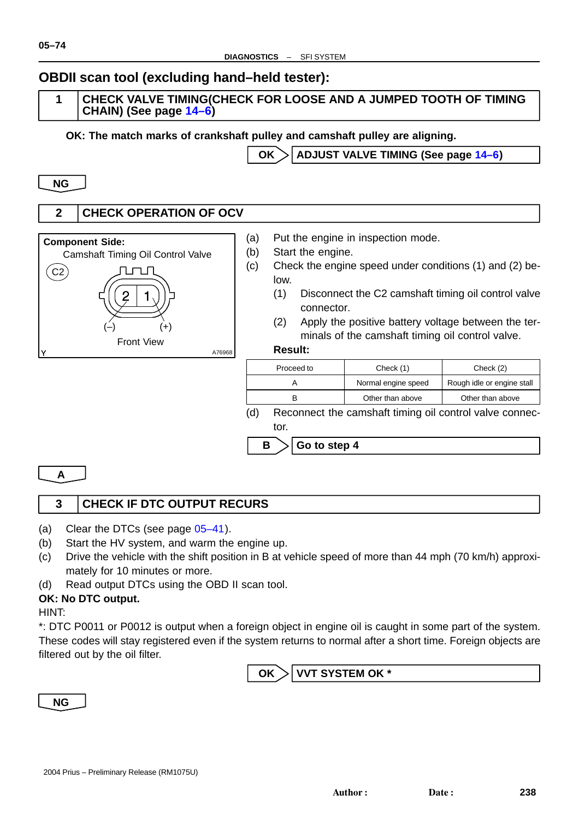# **OBDII scan tool (excluding hand–held tester):**

### **1 CHECK VALVE TIMING(CHECK FOR LOOSE AND A JUMPED TOOTH OF TIMING CHAIN) (See page 14–6)**

**OK: The match marks of crankshaft pulley and camshaft pulley are aligning.**

OK > ADJUST VALVE TIMING (See page 14–6)

**NG**

**05–74**

## **2 CHECK OPERATION OF OCV**



- (a) Put the engine in inspection mode.
- (b) Start the engine.

 $\mathsf{B}$   $\geq$  Go to step 4

- (c) Check the engine speed under conditions (1) and (2) below.
	- (1) Disconnect the C2 camshaft timing oil control valve connector.
	- (2) Apply the positive battery voltage between the terminals of the camshaft timing oil control valve.

#### **Result:**

A76968

| Proceed to | Check (1)           | Check (2)                  |  |
|------------|---------------------|----------------------------|--|
|            | Normal engine speed | Rough idle or engine stall |  |
|            | Other than above    | Other than above           |  |
|            |                     |                            |  |

(d) Reconnect the camshaft timing oil control valve connector.

**A**

## **3 CHECK IF DTC OUTPUT RECURS**

- (a) Clear the DTCs (see page 05–41).
- (b) Start the HV system, and warm the engine up.
- (c) Drive the vehicle with the shift position in B at vehicle speed of more than 44 mph (70 km/h) approximately for 10 minutes or more.
- (d) Read output DTCs using t[he OBD](#page-0-0) II scan tool.

## **OK: No DTC output.**

HINT:

\*: DTC P0011 or P0012 is output when a foreign object in engine oil is caught in some part of the system. These codes will stay registered even if the system returns to normal after a short time. Foreign objects are filtered out by the oil filter.

OK > VVT SYSTEM OK \*

**NG**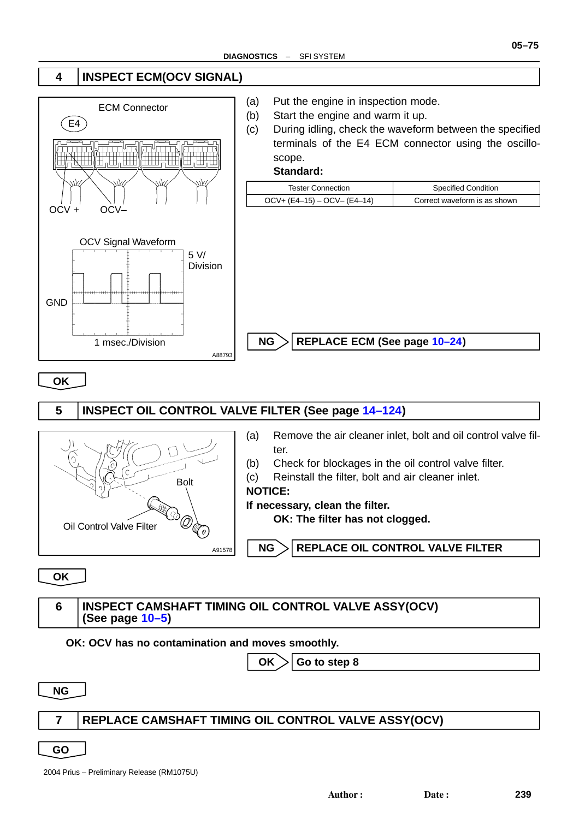



**OK**



**OK**

#### **6 INSPECT CAMSHAFT TIMING OIL CONTROL VALVE ASSY(OCV) (See page 10–5)**

#### **OK: OCV has no contamination and moves smoothly.**

 $OK$   $>$  Go to step 8

**NG**

#### **7 REPLACE CAMSHAFT TIMING OIL CONTROL V[AL](#page-7-0)VE ASSY(OCV)**

**GO**

2004 Prius – Preliminary Release (RM1075U)

**05–75**